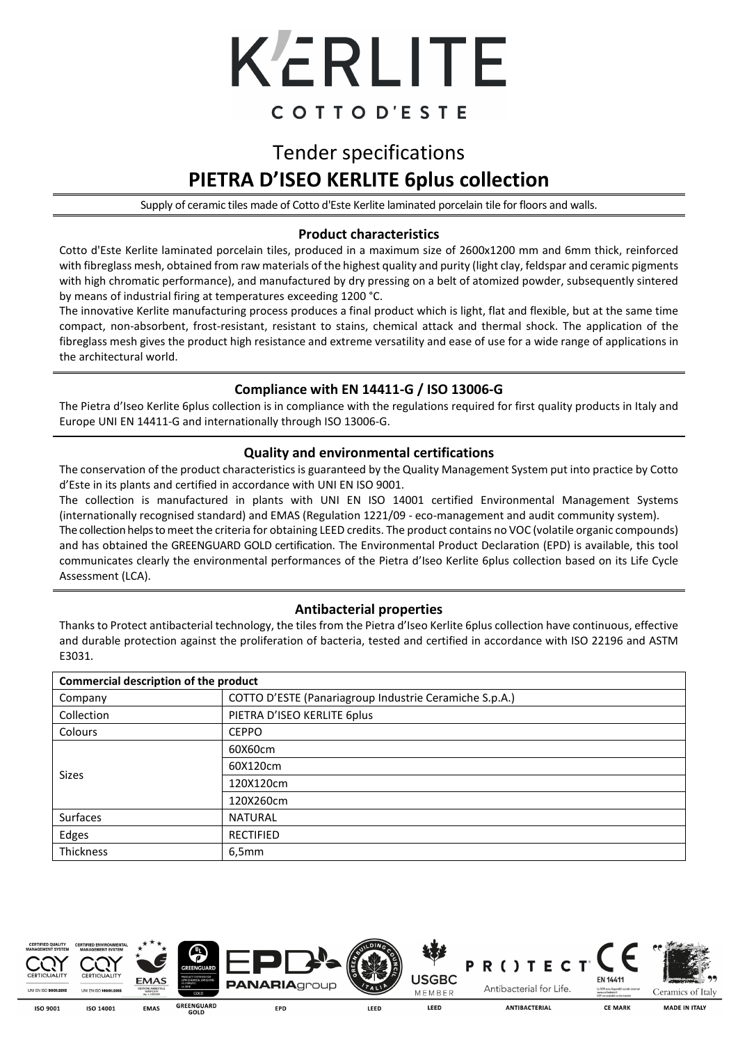

## Tender specifications **PIETRA D'ISEO KERLITE 6plus collection**

Supply of ceramic tiles made of Cotto d'Este Kerlite laminated porcelain tile for floors and walls.

#### **Product characteristics**

Cotto d'Este Kerlite laminated porcelain tiles, produced in a maximum size of 2600x1200 mm and 6mm thick, reinforced with fibreglass mesh, obtained from raw materials of the highest quality and purity (light clay, feldspar and ceramic pigments with high chromatic performance), and manufactured by dry pressing on a belt of atomized powder, subsequently sintered by means of industrial firing at temperatures exceeding 1200 °C.

The innovative Kerlite manufacturing process produces a final product which is light, flat and flexible, but at the same time compact, non-absorbent, frost-resistant, resistant to stains, chemical attack and thermal shock. The application of the fibreglass mesh gives the product high resistance and extreme versatility and ease of use for a wide range of applications in the architectural world.

#### **Compliance with EN 14411-G / ISO 13006-G**

The Pietra d'Iseo Kerlite 6plus collection is in compliance with the regulations required for first quality products in Italy and Europe UNI EN 14411-G and internationally through ISO 13006-G.

#### **Quality and environmental certifications**

The conservation of the product characteristics is guaranteed by the Quality Management System put into practice by Cotto d'Este in its plants and certified in accordance with UNI EN ISO 9001.

The collection is manufactured in plants with UNI EN ISO 14001 certified Environmental Management Systems (internationally recognised standard) and EMAS (Regulation 1221/09 - eco-management and audit community system). The collection helps to meet the criteria for obtaining LEED credits. The product contains no VOC (volatile organic compounds) and has obtained the GREENGUARD GOLD certification. The Environmental Product Declaration (EPD) is available, this tool communicates clearly the environmental performances of the Pietra d'Iseo Kerlite 6plus collection based on its Life Cycle Assessment (LCA).

#### **Antibacterial properties**

Thanks to Protect antibacterial technology, the tiles from the Pietra d'Iseo Kerlite 6plus collection have continuous, effective and durable protection against the proliferation of bacteria, tested and certified in accordance with ISO 22196 and ASTM E3031. l

| Commercial description of the product |                                                        |  |  |  |
|---------------------------------------|--------------------------------------------------------|--|--|--|
| Company                               | COTTO D'ESTE (Panariagroup Industrie Ceramiche S.p.A.) |  |  |  |
| Collection                            | PIETRA D'ISEO KERLITE 6plus                            |  |  |  |
| Colours                               | <b>CEPPO</b>                                           |  |  |  |
|                                       | 60X60cm                                                |  |  |  |
|                                       | 60X120cm                                               |  |  |  |
| <b>Sizes</b>                          | 120X120cm                                              |  |  |  |
|                                       | 120X260cm                                              |  |  |  |
| <b>Surfaces</b>                       | <b>NATURAL</b>                                         |  |  |  |
| Edges                                 | <b>RECTIFIED</b>                                       |  |  |  |
| <b>Thickness</b>                      | 6,5mm                                                  |  |  |  |